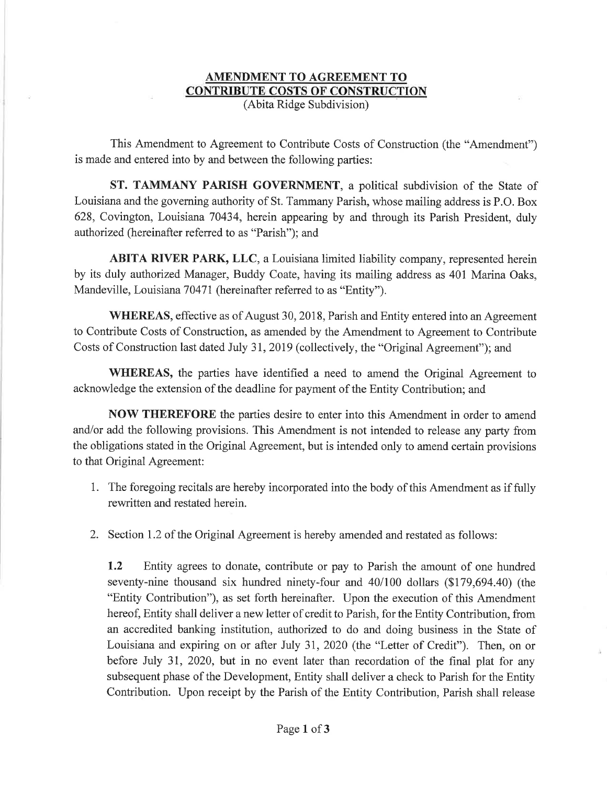## AMENDMENT TO AGREEMENT TO **CONTRIBUTE COSTS OF CONSTRUCTION** (Abita Ridge Subdivision)

This Amendment to Agreement to Contribute Costs of Construction (the "Amendment") is made and entered into by and between the following parties:

ST. TAMMANY PARISH GOVERNMENT, a political subdivision of the State of Louisiana and the goveming authority of St. Tammany Parish, whose mailing address is P.O. Box 628, Covington, Louisiana 70434, herein appearing by and through its Parish President, duly authorized (hereinafter referred to as "Parish"); and

ABITA RIVER PARK, LLC, a Louisiana limited liability company, represented herein by its duly authorized Manager, Buddy Coate, having its mailing address as 401 Marina Oaks, Mandeville, Louisiana 70471(hereinafter referred to as "Entity").

WHEREAS, effective as of August 30, 2018, Parish and Entity entered into an Agreement to Contribute Costs of Construction, as amended by the Amendment to Agreement to Contribute Costs of Construction last dated July 31,2019 (collectively, the "Original Agreement"); and

WHEREAS, the parties have identified a need to amend the Original Agreement to acknowledge the extension of the deadline for payment of the Entity Contribution; and

NOW THEREFORE the parties desire to enter into this Amendment in order to amend and/or add the following provisions. This Amendment is not intended to release any party from the obligations stated in the Original Agreement, but is intended only to amend certain provisions to that Original Agreement:

- 1. The foregoing recitals are hereby incorporated into the body of this Amendment as if fully rewritten and restated herein.
- 2. Section 1.2 of the Original Agreement is hereby amended and restated as follows:

1.2 Entity agrees to donate, contribute or pay to Parish the amount of one hundred seventy-nine thousand six hundred ninety-four and 40/100 dollars (\$179,694.40) (the "Entity Contribution"), as set forth hereinafter. Upon the execution of this Amendment hereof, Entity shall deliver a new letter of credit to Parish, for the Entity Contribution, from an accredited banking institution, authorized to do and doing business in the State of Louisiana and expiring on or after July 31,2020 (the "Letter of Credit"). Then, on or before July 31, 2020, but in no event later than recordation of the final plat for any subsequent phase of the Development, Entity shall deliver a check to Parish for the Entity Contribution. Upon receipt by the Parish of the Entity Contribution, Parish shall release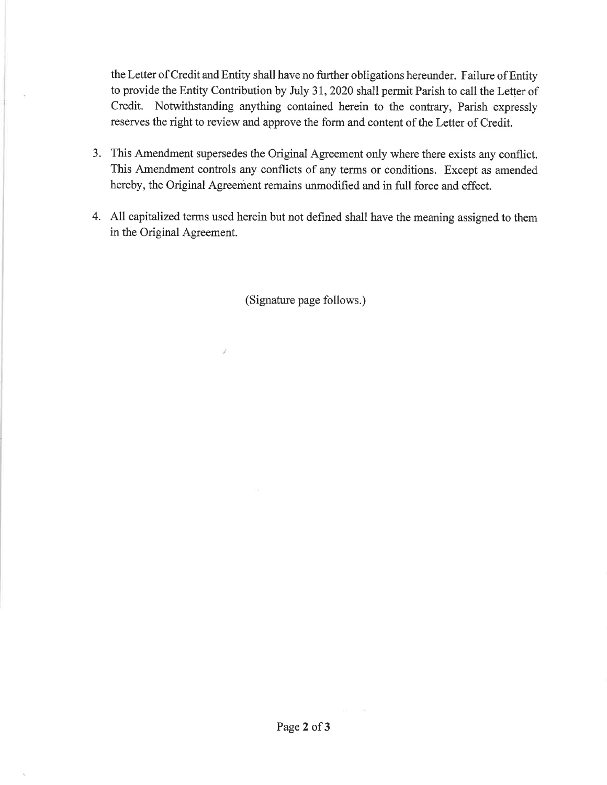the Letter of Credit and Entity shall have no further obligations hereunder. Failure of Entity to provide the Entity Contribution by July 31,2020 shall permit Parish to call the Letter of Credit. Notwithstanding anything contained herein to the contrary, Parish expressly reserves the right to review and approve the form and content of the Letter of Credit.

- 3. This Amendment supersedes the Original Agreement only where there exists any conflict. This Amendment controls any conflicts of any terms or conditions. Except as amended hereby, the Original Agreement remains unmodified and in full force and effect.
- 4. All capitalized terms used herein but not defined shall have the meaning assigned to them in the Original Agreement.

(Signature page follows.)

s).